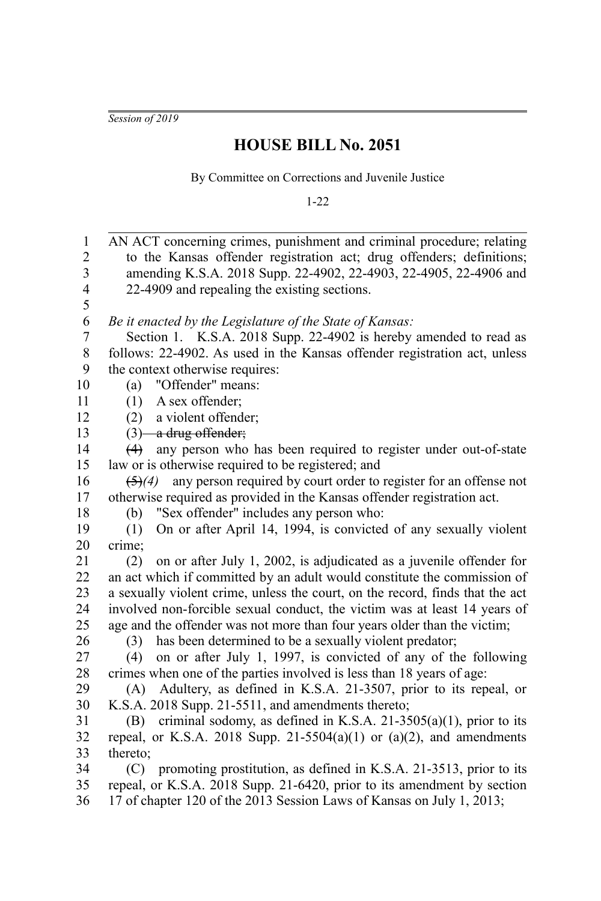*Session of 2019*

## **HOUSE BILL No. 2051**

By Committee on Corrections and Juvenile Justice

1-22

| $\mathbf{1}$            | AN ACT concerning crimes, punishment and criminal procedure; relating                                                                                  |
|-------------------------|--------------------------------------------------------------------------------------------------------------------------------------------------------|
| $\overline{c}$          | to the Kansas offender registration act; drug offenders; definitions;                                                                                  |
| 3                       | amending K.S.A. 2018 Supp. 22-4902, 22-4903, 22-4905, 22-4906 and                                                                                      |
| $\overline{\mathbf{4}}$ | 22-4909 and repealing the existing sections.                                                                                                           |
| 5                       |                                                                                                                                                        |
| 6                       | Be it enacted by the Legislature of the State of Kansas:                                                                                               |
| $\overline{7}$          | Section 1. K.S.A. 2018 Supp. 22-4902 is hereby amended to read as                                                                                      |
| 8                       | follows: 22-4902. As used in the Kansas offender registration act, unless                                                                              |
| 9                       | the context otherwise requires:                                                                                                                        |
| 10                      | "Offender" means:<br>(a)                                                                                                                               |
| 11                      | A sex offender;<br>(1)                                                                                                                                 |
| 12                      | a violent offender;<br>(2)                                                                                                                             |
| 13                      | $(3)$ a drug offender;                                                                                                                                 |
| 14                      | any person who has been required to register under out-of-state<br>(4)                                                                                 |
| 15                      | law or is otherwise required to be registered; and                                                                                                     |
| 16                      | any person required by court order to register for an offense not<br>$\bigoplus (4)$                                                                   |
| 17                      | otherwise required as provided in the Kansas offender registration act.                                                                                |
| 18                      | "Sex offender" includes any person who:<br>(b)                                                                                                         |
| 19                      | On or after April 14, 1994, is convicted of any sexually violent<br>(1)                                                                                |
| 20                      | crime;                                                                                                                                                 |
| 21<br>22                | on or after July 1, 2002, is adjudicated as a juvenile offender for<br>(2)<br>an act which if committed by an adult would constitute the commission of |
| 23                      | a sexually violent crime, unless the court, on the record, finds that the act                                                                          |
| 24                      | involved non-forcible sexual conduct, the victim was at least 14 years of                                                                              |
| 25                      | age and the offender was not more than four years older than the victim;                                                                               |
| 26                      | has been determined to be a sexually violent predator;<br>(3)                                                                                          |
| 27                      | on or after July 1, 1997, is convicted of any of the following<br>(4)                                                                                  |
| 28                      | crimes when one of the parties involved is less than 18 years of age:                                                                                  |
| 29                      | (A) Adultery, as defined in K.S.A. 21-3507, prior to its repeal, or                                                                                    |
| 30                      | K.S.A. 2018 Supp. 21-5511, and amendments thereto;                                                                                                     |
| 31                      | criminal sodomy, as defined in K.S.A. 21-3505(a)(1), prior to its<br>(B)                                                                               |
| 32                      | repeal, or K.S.A. 2018 Supp. 21-5504(a)(1) or (a)(2), and amendments                                                                                   |
| 33                      | thereto;                                                                                                                                               |
| 34                      | promoting prostitution, as defined in K.S.A. 21-3513, prior to its<br>(C)                                                                              |
| 35                      | repeal, or K.S.A. 2018 Supp. 21-6420, prior to its amendment by section                                                                                |
| 36                      | 17 of chapter 120 of the 2013 Session Laws of Kansas on July 1, 2013;                                                                                  |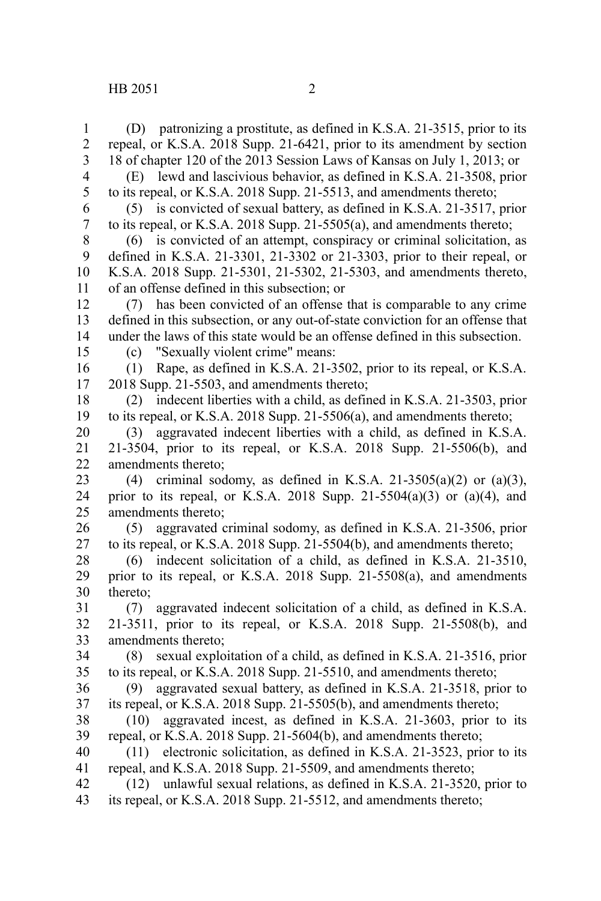(D) patronizing a prostitute, as defined in K.S.A. 21-3515, prior to its repeal, or K.S.A. 2018 Supp. 21-6421, prior to its amendment by section 18 of chapter 120 of the 2013 Session Laws of Kansas on July 1, 2013; or (E) lewd and lascivious behavior, as defined in K.S.A. 21-3508, prior to its repeal, or K.S.A. 2018 Supp. 21-5513, and amendments thereto; (5) is convicted of sexual battery, as defined in K.S.A. 21-3517, prior to its repeal, or K.S.A. 2018 Supp. 21-5505(a), and amendments thereto; (6) is convicted of an attempt, conspiracy or criminal solicitation, as defined in K.S.A. 21-3301, 21-3302 or 21-3303, prior to their repeal, or K.S.A. 2018 Supp. 21-5301, 21-5302, 21-5303, and amendments thereto, of an offense defined in this subsection; or (7) has been convicted of an offense that is comparable to any crime defined in this subsection, or any out-of-state conviction for an offense that under the laws of this state would be an offense defined in this subsection. (c) "Sexually violent crime" means: (1) Rape, as defined in K.S.A. 21-3502, prior to its repeal, or K.S.A. 2018 Supp. 21-5503, and amendments thereto; (2) indecent liberties with a child, as defined in K.S.A. 21-3503, prior to its repeal, or K.S.A. 2018 Supp. 21-5506(a), and amendments thereto; (3) aggravated indecent liberties with a child, as defined in K.S.A. 21-3504, prior to its repeal, or K.S.A. 2018 Supp. 21-5506(b), and amendments thereto; (4) criminal sodomy, as defined in K.S.A. 21-3505(a)(2) or (a)(3), prior to its repeal, or K.S.A. 2018 Supp. 21-5504(a)(3) or (a)(4), and amendments thereto; (5) aggravated criminal sodomy, as defined in K.S.A. 21-3506, prior to its repeal, or K.S.A. 2018 Supp. 21-5504(b), and amendments thereto; (6) indecent solicitation of a child, as defined in K.S.A. 21-3510, prior to its repeal, or K.S.A. 2018 Supp. 21-5508(a), and amendments thereto; (7) aggravated indecent solicitation of a child, as defined in K.S.A. 21-3511, prior to its repeal, or K.S.A. 2018 Supp. 21-5508(b), and amendments thereto; (8) sexual exploitation of a child, as defined in K.S.A. 21-3516, prior to its repeal, or K.S.A. 2018 Supp. 21-5510, and amendments thereto; (9) aggravated sexual battery, as defined in K.S.A. 21-3518, prior to its repeal, or K.S.A. 2018 Supp. 21-5505(b), and amendments thereto; (10) aggravated incest, as defined in K.S.A. 21-3603, prior to its repeal, or K.S.A. 2018 Supp. 21-5604(b), and amendments thereto; (11) electronic solicitation, as defined in K.S.A. 21-3523, prior to its repeal, and K.S.A. 2018 Supp. 21-5509, and amendments thereto; (12) unlawful sexual relations, as defined in K.S.A. 21-3520, prior to 1 2 3 4 5 6 7 8 9 10 11 12 13 14 15 16 17 18 19 20 21 22 23 24 25 26 27 28 29 30 31 32 33 34 35 36 37 38 39 40 41 42

its repeal, or K.S.A. 2018 Supp. 21-5512, and amendments thereto; 43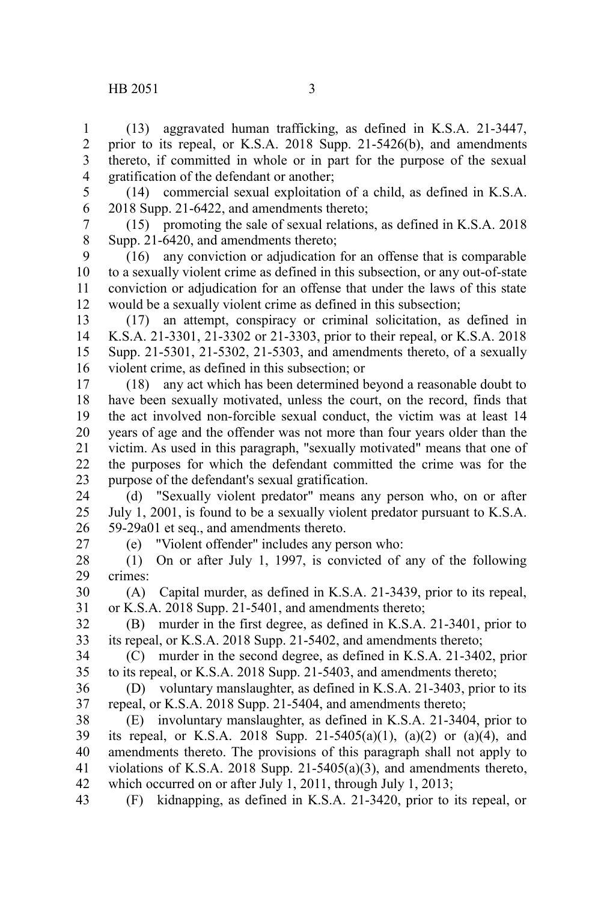(13) aggravated human trafficking, as defined in K.S.A. 21-3447, prior to its repeal, or K.S.A. 2018 Supp. 21-5426(b), and amendments thereto, if committed in whole or in part for the purpose of the sexual gratification of the defendant or another; 1 2 3 4

5

(14) commercial sexual exploitation of a child, as defined in K.S.A. 2018 Supp. 21-6422, and amendments thereto; 6

(15) promoting the sale of sexual relations, as defined in K.S.A. 2018 Supp. 21-6420, and amendments thereto; 7 8

(16) any conviction or adjudication for an offense that is comparable to a sexually violent crime as defined in this subsection, or any out-of-state conviction or adjudication for an offense that under the laws of this state would be a sexually violent crime as defined in this subsection; 9 10 11 12

(17) an attempt, conspiracy or criminal solicitation, as defined in K.S.A. 21-3301, 21-3302 or 21-3303, prior to their repeal, or K.S.A. 2018 Supp. 21-5301, 21-5302, 21-5303, and amendments thereto, of a sexually violent crime, as defined in this subsection; or 13 14 15 16

(18) any act which has been determined beyond a reasonable doubt to have been sexually motivated, unless the court, on the record, finds that the act involved non-forcible sexual conduct, the victim was at least 14 years of age and the offender was not more than four years older than the victim. As used in this paragraph, "sexually motivated" means that one of the purposes for which the defendant committed the crime was for the purpose of the defendant's sexual gratification. 17 18 19 20 21 22 23

(d) "Sexually violent predator" means any person who, on or after July 1, 2001, is found to be a sexually violent predator pursuant to K.S.A. 59-29a01 et seq., and amendments thereto. 24 25 26

27

(e) "Violent offender" includes any person who:

(1) On or after July 1, 1997, is convicted of any of the following crimes: 28 29

(A) Capital murder, as defined in K.S.A. 21-3439, prior to its repeal, or K.S.A. 2018 Supp. 21-5401, and amendments thereto; 30 31

(B) murder in the first degree, as defined in K.S.A. 21-3401, prior to its repeal, or K.S.A. 2018 Supp. 21-5402, and amendments thereto; 32 33

(C) murder in the second degree, as defined in K.S.A. 21-3402, prior to its repeal, or K.S.A. 2018 Supp. 21-5403, and amendments thereto; 34 35

(D) voluntary manslaughter, as defined in K.S.A. 21-3403, prior to its repeal, or K.S.A. 2018 Supp. 21-5404, and amendments thereto; 36 37

(E) involuntary manslaughter, as defined in K.S.A. 21-3404, prior to its repeal, or K.S.A. 2018 Supp. 21-5405(a)(1), (a)(2) or (a)(4), and amendments thereto. The provisions of this paragraph shall not apply to violations of K.S.A. 2018 Supp. 21-5405(a)(3), and amendments thereto, which occurred on or after July 1, 2011, through July 1, 2013; 38 39 40 41 42

(F) kidnapping, as defined in K.S.A. 21-3420, prior to its repeal, or 43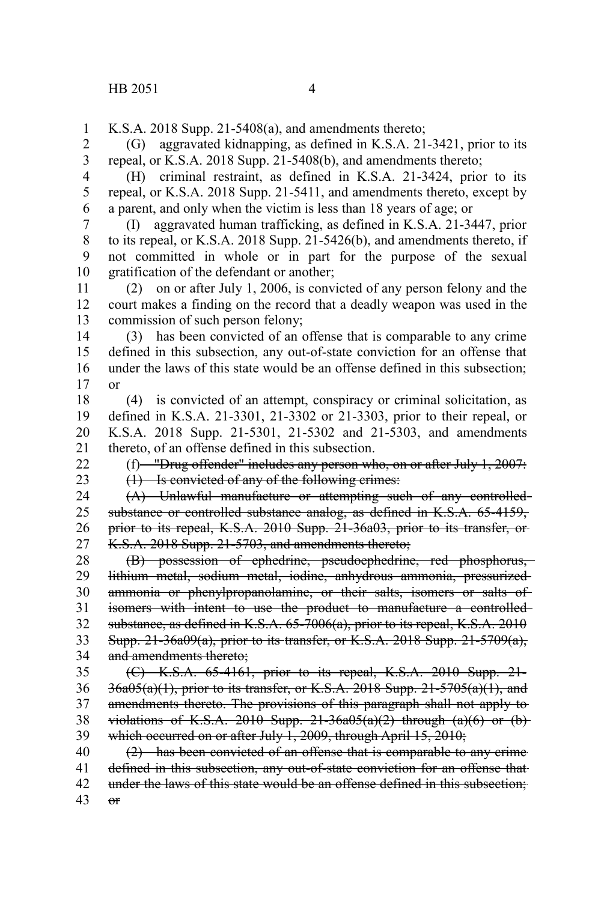K.S.A. 2018 Supp. 21-5408(a), and amendments thereto; 1

(G) aggravated kidnapping, as defined in K.S.A. 21-3421, prior to its repeal, or K.S.A. 2018 Supp. 21-5408(b), and amendments thereto; 2 3

(H) criminal restraint, as defined in K.S.A. 21-3424, prior to its repeal, or K.S.A. 2018 Supp. 21-5411, and amendments thereto, except by a parent, and only when the victim is less than 18 years of age; or 4 5 6

(I) aggravated human trafficking, as defined in K.S.A. 21-3447, prior to its repeal, or K.S.A. 2018 Supp. 21-5426(b), and amendments thereto, if not committed in whole or in part for the purpose of the sexual gratification of the defendant or another; 7 8 9 10

(2) on or after July 1, 2006, is convicted of any person felony and the court makes a finding on the record that a deadly weapon was used in the commission of such person felony; 11 12 13

(3) has been convicted of an offense that is comparable to any crime defined in this subsection, any out-of-state conviction for an offense that under the laws of this state would be an offense defined in this subsection; or 14 15 16 17

(4) is convicted of an attempt, conspiracy or criminal solicitation, as defined in K.S.A. 21-3301, 21-3302 or 21-3303, prior to their repeal, or K.S.A. 2018 Supp. 21-5301, 21-5302 and 21-5303, and amendments thereto, of an offense defined in this subsection. 18 19 20 21

22

23

(f) "Drug offender" includes any person who, on or after July 1, 2007:

(1) Is convicted of any of the following crimes:

(A) Unlawful manufacture or attempting such of any controlled substance or controlled substance analog, as defined in K.S.A. 65-4159, prior to its repeal, K.S.A. 2010 Supp. 21-36a03, prior to its transfer, or K.S.A. 2018 Supp. 21-5703, and amendments thereto; 24 25 26 27

(B) possession of ephedrine, pseudoephedrine, red phosphorus, lithium metal, sodium metal, iodine, anhydrous ammonia, pressurized ammonia or phenylpropanolamine, or their salts, isomers or salts of isomers with intent to use the product to manufacture a controlled substance, as defined in K.S.A. 65-7006(a), prior to its repeal, K.S.A. 2010 Supp. 21-36a09(a), prior to its transfer, or K.S.A. 2018 Supp. 21-5709(a), and amendments thereto; 28 29 30 31 32 33 34

(C) K.S.A. 65-4161, prior to its repeal, K.S.A. 2010 Supp. 21-  $36a05(a)(1)$ , prior to its transfer, or K.S.A. 2018 Supp. 21-5705 $(a)(1)$ , and amendments thereto. The provisions of this paragraph shall not apply to violations of K.S.A. 2010 Supp.  $21-36a05(a)(2)$  through  $(a)(6)$  or  $(b)$ which occurred on or after July 1, 2009, through April 15, 2010; 35 36 37 38 39

(2) has been convicted of an offense that is comparable to any crime defined in this subsection, any out-of-state conviction for an offense that under the laws of this state would be an offense defined in this subsection;  $\theta$ 40 41 42 43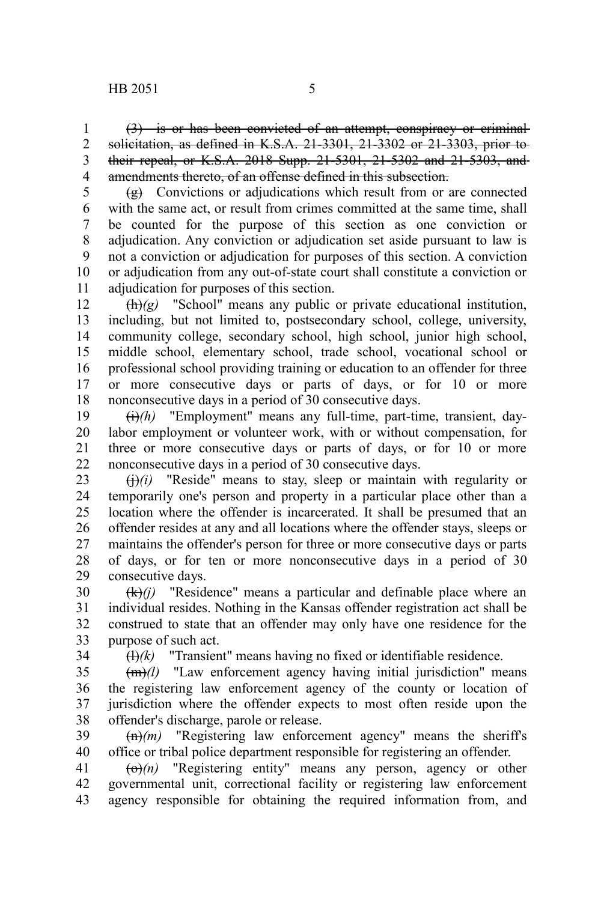(3) is or has been convicted of an attempt, conspiracy or criminal solicitation, as defined in K.S.A. 21-3301, 21-3302 or 21-3303, prior to their repeal, or K.S.A. 2018 Supp. 21-5301, 21-5302 and 21-5303, and amendments thereto, of an offense defined in this subsection. 1 2 3 4

 $\left(\frac{g}{g}\right)$  Convictions or adjudications which result from or are connected with the same act, or result from crimes committed at the same time, shall be counted for the purpose of this section as one conviction or adjudication. Any conviction or adjudication set aside pursuant to law is not a conviction or adjudication for purposes of this section. A conviction or adjudication from any out-of-state court shall constitute a conviction or adjudication for purposes of this section. 5 6 7 8 9 10 11

 $(h)(g)$  "School" means any public or private educational institution, including, but not limited to, postsecondary school, college, university, community college, secondary school, high school, junior high school, middle school, elementary school, trade school, vocational school or professional school providing training or education to an offender for three or more consecutive days or parts of days, or for 10 or more nonconsecutive days in a period of 30 consecutive days. 12 13 14 15 16 17 18

(i)*(h)* "Employment" means any full-time, part-time, transient, daylabor employment or volunteer work, with or without compensation, for three or more consecutive days or parts of days, or for 10 or more nonconsecutive days in a period of 30 consecutive days. 19 20 21 22

 $\left(\frac{1}{1}\right)(i)$  "Reside" means to stay, sleep or maintain with regularity or temporarily one's person and property in a particular place other than a location where the offender is incarcerated. It shall be presumed that an offender resides at any and all locations where the offender stays, sleeps or maintains the offender's person for three or more consecutive days or parts of days, or for ten or more nonconsecutive days in a period of 30 consecutive days. 23 24 25 26 27 28 29

 $(k)(i)$  "Residence" means a particular and definable place where an individual resides. Nothing in the Kansas offender registration act shall be construed to state that an offender may only have one residence for the purpose of such act. 30 31 32 33

34

 $(H)(k)$  "Transient" means having no fixed or identifiable residence.

 $\frac{dm}{d}$  "Law enforcement agency having initial jurisdiction" means the registering law enforcement agency of the county or location of jurisdiction where the offender expects to most often reside upon the offender's discharge, parole or release. 35 36 37 38

(n)*(m)* "Registering law enforcement agency" means the sheriff's office or tribal police department responsible for registering an offender. 39 40

(o)*(n)* "Registering entity" means any person, agency or other governmental unit, correctional facility or registering law enforcement agency responsible for obtaining the required information from, and 41 42 43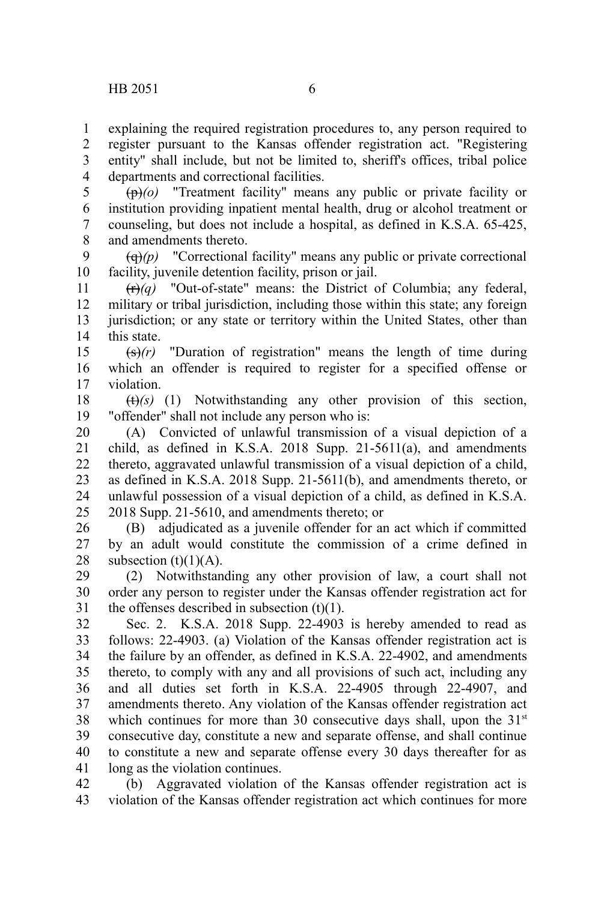explaining the required registration procedures to, any person required to register pursuant to the Kansas offender registration act. "Registering entity" shall include, but not be limited to, sheriff's offices, tribal police departments and correctional facilities. 1 2 3 4

(p)*(o)* "Treatment facility" means any public or private facility or institution providing inpatient mental health, drug or alcohol treatment or counseling, but does not include a hospital, as defined in K.S.A. 65-425, and amendments thereto. 5 6 7 8

(q)*(p)* "Correctional facility" means any public or private correctional facility, juvenile detention facility, prison or jail. 9 10

 $(r)(q)$  "Out-of-state" means: the District of Columbia; any federal, military or tribal jurisdiction, including those within this state; any foreign jurisdiction; or any state or territory within the United States, other than this state. 11 12 13 14

(s)*(r)* "Duration of registration" means the length of time during which an offender is required to register for a specified offense or violation. 15 16 17

(t)*(s)* (1) Notwithstanding any other provision of this section, "offender" shall not include any person who is: 18 19

(A) Convicted of unlawful transmission of a visual depiction of a child, as defined in K.S.A. 2018 Supp. 21-5611(a), and amendments thereto, aggravated unlawful transmission of a visual depiction of a child, as defined in K.S.A. 2018 Supp. 21-5611(b), and amendments thereto, or unlawful possession of a visual depiction of a child, as defined in K.S.A. 2018 Supp. 21-5610, and amendments thereto; or 20 21 22 23 24 25

(B) adjudicated as a juvenile offender for an act which if committed by an adult would constitute the commission of a crime defined in subsection  $(t)(1)(A)$ . 26 27 28

(2) Notwithstanding any other provision of law, a court shall not order any person to register under the Kansas offender registration act for the offenses described in subsection  $(t)(1)$ . 29 30 31

Sec. 2. K.S.A. 2018 Supp. 22-4903 is hereby amended to read as follows: 22-4903. (a) Violation of the Kansas offender registration act is the failure by an offender, as defined in K.S.A. 22-4902, and amendments thereto, to comply with any and all provisions of such act, including any and all duties set forth in K.S.A. 22-4905 through 22-4907, and amendments thereto. Any violation of the Kansas offender registration act which continues for more than 30 consecutive days shall, upon the  $31<sup>st</sup>$ consecutive day, constitute a new and separate offense, and shall continue to constitute a new and separate offense every 30 days thereafter for as long as the violation continues. 32 33 34 35 36 37 38 39 40 41

(b) Aggravated violation of the Kansas offender registration act is violation of the Kansas offender registration act which continues for more 42 43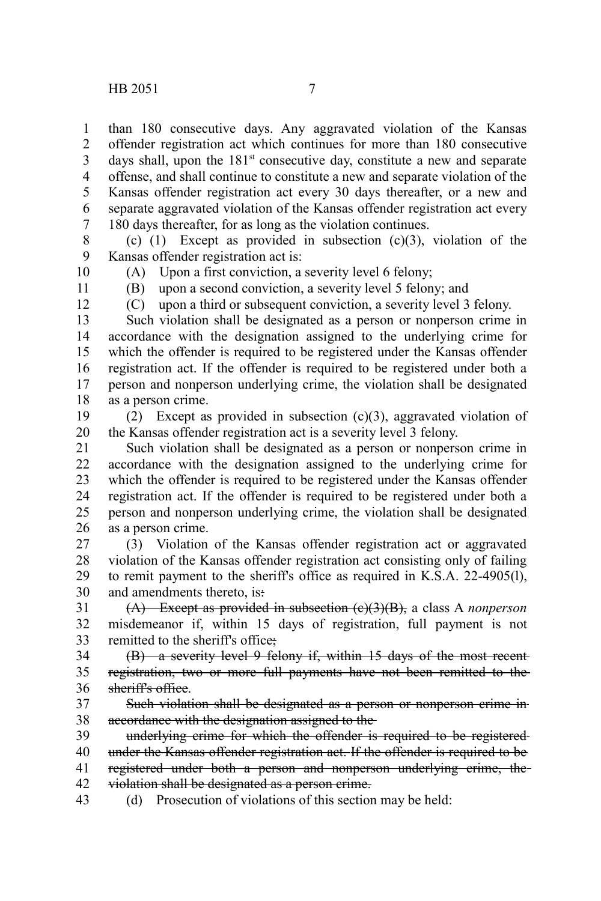than 180 consecutive days. Any aggravated violation of the Kansas offender registration act which continues for more than 180 consecutive days shall, upon the  $181<sup>st</sup>$  consecutive day, constitute a new and separate offense, and shall continue to constitute a new and separate violation of the Kansas offender registration act every 30 days thereafter, or a new and separate aggravated violation of the Kansas offender registration act every 180 days thereafter, for as long as the violation continues. 1 2 3 4 5 6 7

(c)  $(1)$  Except as provided in subsection  $(c)(3)$ , violation of the Kansas offender registration act is: 8 9

10

(A) Upon a first conviction, a severity level 6 felony; (B) upon a second conviction, a severity level 5 felony; and

11 12

(C) upon a third or subsequent conviction, a severity level 3 felony.

Such violation shall be designated as a person or nonperson crime in accordance with the designation assigned to the underlying crime for which the offender is required to be registered under the Kansas offender registration act. If the offender is required to be registered under both a person and nonperson underlying crime, the violation shall be designated as a person crime. 13 14 15 16 17 18

(2) Except as provided in subsection (c)(3), aggravated violation of the Kansas offender registration act is a severity level 3 felony. 19 20

Such violation shall be designated as a person or nonperson crime in accordance with the designation assigned to the underlying crime for which the offender is required to be registered under the Kansas offender registration act. If the offender is required to be registered under both a person and nonperson underlying crime, the violation shall be designated as a person crime. 21 22 23 24 25 26

(3) Violation of the Kansas offender registration act or aggravated violation of the Kansas offender registration act consisting only of failing to remit payment to the sheriff's office as required in K.S.A. 22-4905(l), and amendments thereto, is: 27 28 29 30

(A) Except as provided in subsection (c)(3)(B), a class A *nonperson* misdemeanor if, within 15 days of registration, full payment is not remitted to the sheriff's office; 31 32 33

(B) a severity level 9 felony if, within 15 days of the most recent registration, two or more full payments have not been remitted to the sheriff's office. 34 35 36

Such violation shall be designated as a person or nonperson crime in accordance with the designation assigned to the 37 38

underlying crime for which the offender is required to be registered under the Kansas offender registration act. If the offender is required to be registered under both a person and nonperson underlying crime, the violation shall be designated as a person crime. 39 40 41 42

(d) Prosecution of violations of this section may be held: 43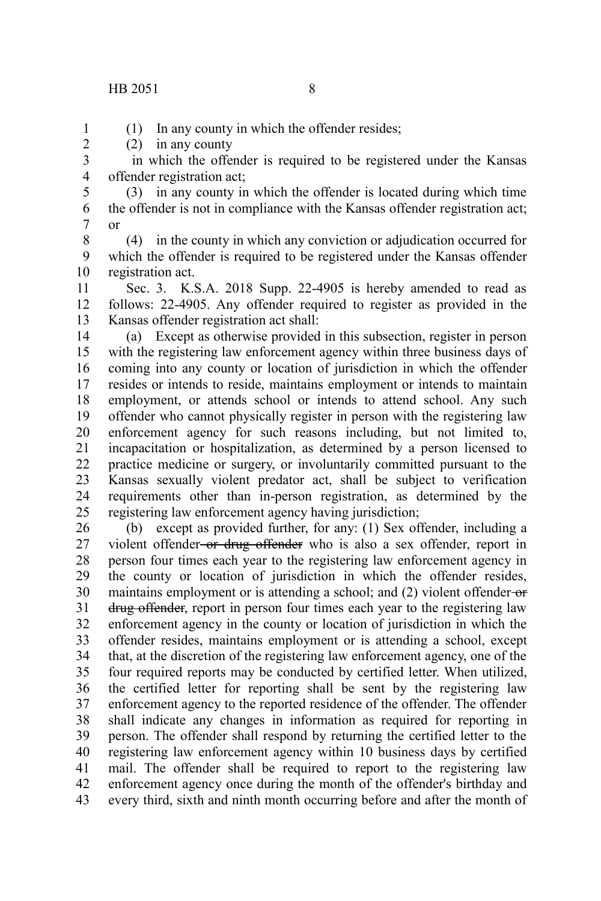## HB 2051 8

1 2 (1) In any county in which the offender resides;

(2) in any county

 in which the offender is required to be registered under the Kansas offender registration act; 3 4

(3) in any county in which the offender is located during which time the offender is not in compliance with the Kansas offender registration act; or 5 6 7

(4) in the county in which any conviction or adjudication occurred for which the offender is required to be registered under the Kansas offender registration act. 8 9 10

Sec. 3. K.S.A. 2018 Supp. 22-4905 is hereby amended to read as follows: 22-4905. Any offender required to register as provided in the Kansas offender registration act shall: 11 12 13

(a) Except as otherwise provided in this subsection, register in person with the registering law enforcement agency within three business days of coming into any county or location of jurisdiction in which the offender resides or intends to reside, maintains employment or intends to maintain employment, or attends school or intends to attend school. Any such offender who cannot physically register in person with the registering law enforcement agency for such reasons including, but not limited to, incapacitation or hospitalization, as determined by a person licensed to practice medicine or surgery, or involuntarily committed pursuant to the Kansas sexually violent predator act, shall be subject to verification requirements other than in-person registration, as determined by the registering law enforcement agency having jurisdiction; 14 15 16 17 18 19 20 21 22 23 24 25

(b) except as provided further, for any: (1) Sex offender, including a violent offender or drug offender who is also a sex offender, report in person four times each year to the registering law enforcement agency in the county or location of jurisdiction in which the offender resides, maintains employment or is attending a school; and (2) violent offender-or drug offender, report in person four times each year to the registering law enforcement agency in the county or location of jurisdiction in which the offender resides, maintains employment or is attending a school, except that, at the discretion of the registering law enforcement agency, one of the four required reports may be conducted by certified letter. When utilized, the certified letter for reporting shall be sent by the registering law enforcement agency to the reported residence of the offender. The offender shall indicate any changes in information as required for reporting in person. The offender shall respond by returning the certified letter to the registering law enforcement agency within 10 business days by certified mail. The offender shall be required to report to the registering law enforcement agency once during the month of the offender's birthday and every third, sixth and ninth month occurring before and after the month of 26 27 28 29 30 31 32 33 34 35 36 37 38 39 40 41 42 43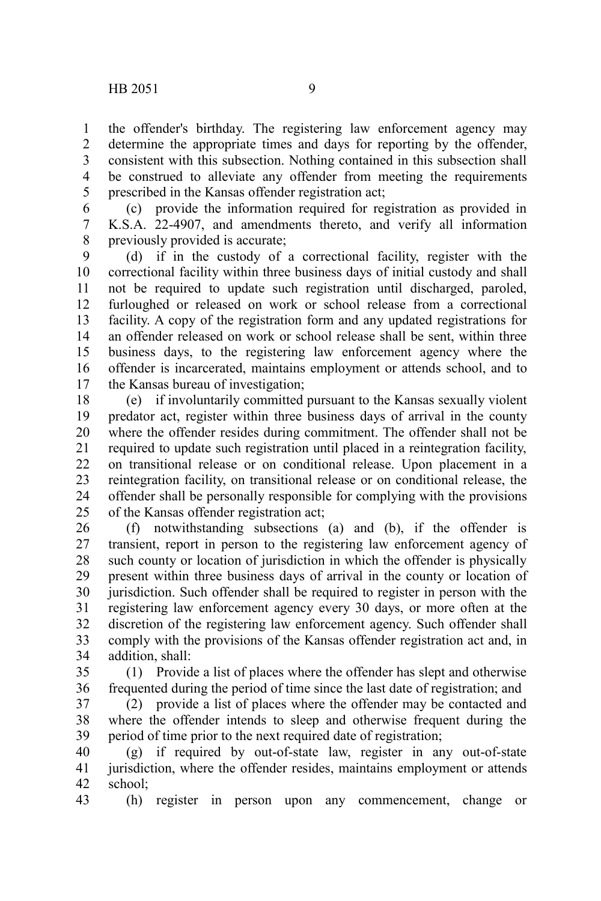the offender's birthday. The registering law enforcement agency may determine the appropriate times and days for reporting by the offender, consistent with this subsection. Nothing contained in this subsection shall be construed to alleviate any offender from meeting the requirements prescribed in the Kansas offender registration act; 1 2 3 4 5

(c) provide the information required for registration as provided in K.S.A. 22-4907, and amendments thereto, and verify all information previously provided is accurate; 6 7 8

(d) if in the custody of a correctional facility, register with the correctional facility within three business days of initial custody and shall not be required to update such registration until discharged, paroled, furloughed or released on work or school release from a correctional facility. A copy of the registration form and any updated registrations for an offender released on work or school release shall be sent, within three business days, to the registering law enforcement agency where the offender is incarcerated, maintains employment or attends school, and to the Kansas bureau of investigation; 9 10 11 12 13 14 15 16 17

(e) if involuntarily committed pursuant to the Kansas sexually violent predator act, register within three business days of arrival in the county where the offender resides during commitment. The offender shall not be required to update such registration until placed in a reintegration facility, on transitional release or on conditional release. Upon placement in a reintegration facility, on transitional release or on conditional release, the offender shall be personally responsible for complying with the provisions of the Kansas offender registration act; 18 19 20 21 22 23 24 25

(f) notwithstanding subsections (a) and (b), if the offender is transient, report in person to the registering law enforcement agency of such county or location of jurisdiction in which the offender is physically present within three business days of arrival in the county or location of jurisdiction. Such offender shall be required to register in person with the registering law enforcement agency every 30 days, or more often at the discretion of the registering law enforcement agency. Such offender shall comply with the provisions of the Kansas offender registration act and, in addition, shall: 26 27 28 29 30 31 32 33 34

(1) Provide a list of places where the offender has slept and otherwise frequented during the period of time since the last date of registration; and 35 36

(2) provide a list of places where the offender may be contacted and where the offender intends to sleep and otherwise frequent during the period of time prior to the next required date of registration; 37 38 39

(g) if required by out-of-state law, register in any out-of-state jurisdiction, where the offender resides, maintains employment or attends school; 40 41 42

(h) register in person upon any commencement, change or 43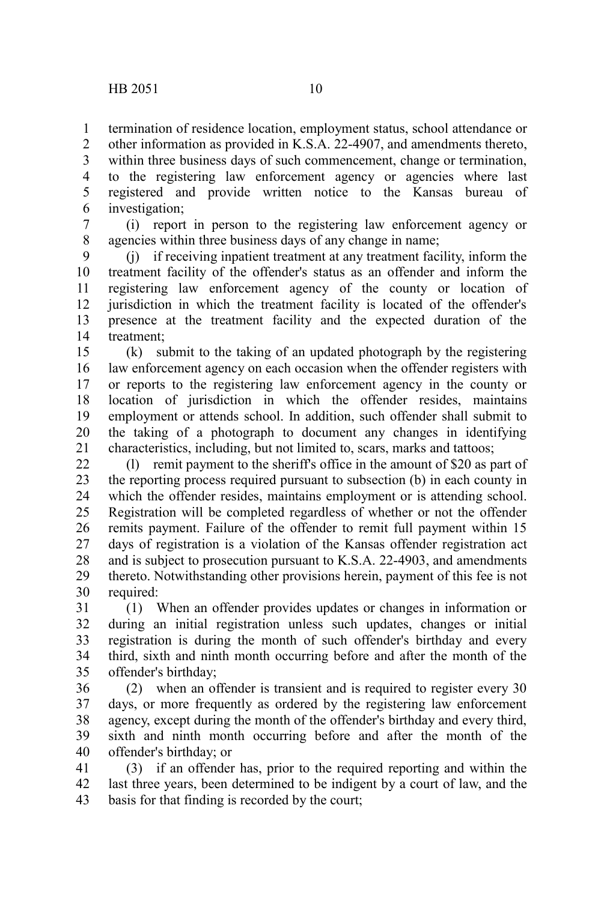termination of residence location, employment status, school attendance or other information as provided in K.S.A. 22-4907, and amendments thereto, within three business days of such commencement, change or termination, to the registering law enforcement agency or agencies where last registered and provide written notice to the Kansas bureau of 1 2 3 4 5

investigation; 6

(i) report in person to the registering law enforcement agency or agencies within three business days of any change in name; 7 8

(j) if receiving inpatient treatment at any treatment facility, inform the treatment facility of the offender's status as an offender and inform the registering law enforcement agency of the county or location of jurisdiction in which the treatment facility is located of the offender's presence at the treatment facility and the expected duration of the treatment; 9 10 11 12 13 14

(k) submit to the taking of an updated photograph by the registering law enforcement agency on each occasion when the offender registers with or reports to the registering law enforcement agency in the county or location of jurisdiction in which the offender resides, maintains employment or attends school. In addition, such offender shall submit to the taking of a photograph to document any changes in identifying characteristics, including, but not limited to, scars, marks and tattoos; 15 16 17 18 19 20 21

(l) remit payment to the sheriff's office in the amount of \$20 as part of the reporting process required pursuant to subsection (b) in each county in which the offender resides, maintains employment or is attending school. Registration will be completed regardless of whether or not the offender remits payment. Failure of the offender to remit full payment within 15 days of registration is a violation of the Kansas offender registration act and is subject to prosecution pursuant to K.S.A. 22-4903, and amendments thereto. Notwithstanding other provisions herein, payment of this fee is not required: 22 23 24 25 26 27 28 29 30

(1) When an offender provides updates or changes in information or during an initial registration unless such updates, changes or initial registration is during the month of such offender's birthday and every third, sixth and ninth month occurring before and after the month of the offender's birthday; 31 32 33 34 35

(2) when an offender is transient and is required to register every 30 days, or more frequently as ordered by the registering law enforcement agency, except during the month of the offender's birthday and every third, sixth and ninth month occurring before and after the month of the offender's birthday; or 36 37 38 39 40

(3) if an offender has, prior to the required reporting and within the last three years, been determined to be indigent by a court of law, and the basis for that finding is recorded by the court; 41 42 43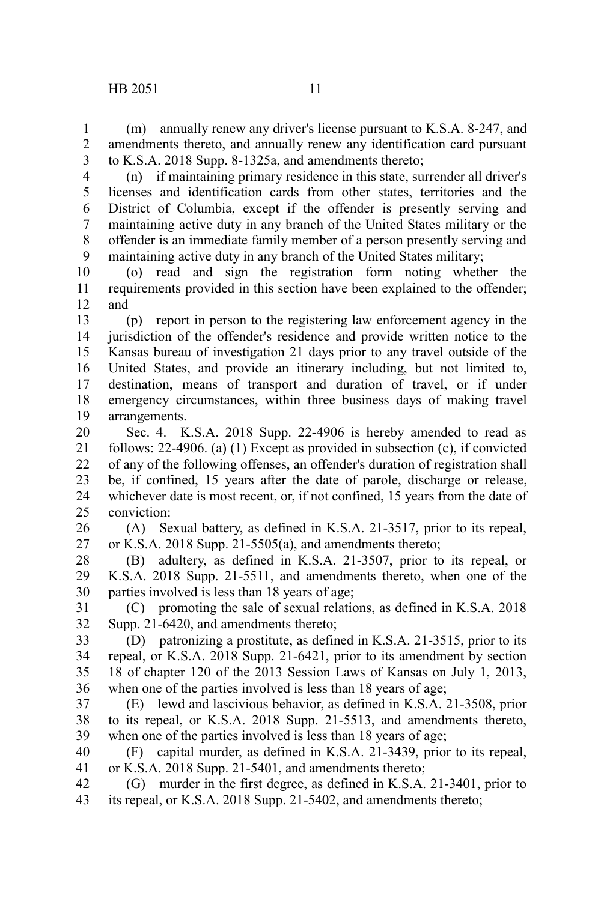(m) annually renew any driver's license pursuant to K.S.A. 8-247, and amendments thereto, and annually renew any identification card pursuant to K.S.A. 2018 Supp. 8-1325a, and amendments thereto; 1 2 3

4

(n) if maintaining primary residence in this state, surrender all driver's licenses and identification cards from other states, territories and the District of Columbia, except if the offender is presently serving and maintaining active duty in any branch of the United States military or the offender is an immediate family member of a person presently serving and maintaining active duty in any branch of the United States military; 5 6 7 8 9

(o) read and sign the registration form noting whether the requirements provided in this section have been explained to the offender; and 10 11 12

(p) report in person to the registering law enforcement agency in the jurisdiction of the offender's residence and provide written notice to the Kansas bureau of investigation 21 days prior to any travel outside of the United States, and provide an itinerary including, but not limited to, destination, means of transport and duration of travel, or if under emergency circumstances, within three business days of making travel arrangements. 13 14 15 16 17 18 19

Sec. 4. K.S.A. 2018 Supp. 22-4906 is hereby amended to read as follows: 22-4906. (a) (1) Except as provided in subsection (c), if convicted of any of the following offenses, an offender's duration of registration shall be, if confined, 15 years after the date of parole, discharge or release, whichever date is most recent, or, if not confined, 15 years from the date of conviction: 20 21 22 23 24 25

(A) Sexual battery, as defined in K.S.A. 21-3517, prior to its repeal, or K.S.A. 2018 Supp. 21-5505(a), and amendments thereto; 26 27

(B) adultery, as defined in K.S.A. 21-3507, prior to its repeal, or K.S.A. 2018 Supp. 21-5511, and amendments thereto, when one of the parties involved is less than 18 years of age; 28 29 30

(C) promoting the sale of sexual relations, as defined in K.S.A. 2018 Supp. 21-6420, and amendments thereto; 31 32

(D) patronizing a prostitute, as defined in K.S.A. 21-3515, prior to its repeal, or K.S.A. 2018 Supp. 21-6421, prior to its amendment by section 18 of chapter 120 of the 2013 Session Laws of Kansas on July 1, 2013, when one of the parties involved is less than 18 years of age; 33 34 35 36

(E) lewd and lascivious behavior, as defined in K.S.A. 21-3508, prior to its repeal, or K.S.A. 2018 Supp. 21-5513, and amendments thereto, when one of the parties involved is less than 18 years of age; 37 38 39

(F) capital murder, as defined in K.S.A. 21-3439, prior to its repeal, or K.S.A. 2018 Supp. 21-5401, and amendments thereto; 40 41

(G) murder in the first degree, as defined in K.S.A. 21-3401, prior to its repeal, or K.S.A. 2018 Supp. 21-5402, and amendments thereto; 42 43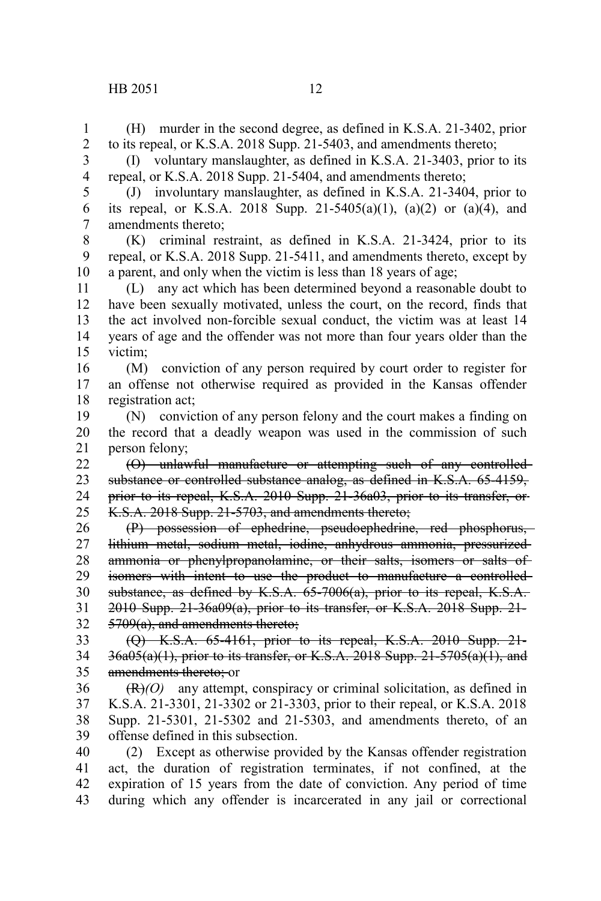(H) murder in the second degree, as defined in K.S.A. 21-3402, prior to its repeal, or K.S.A. 2018 Supp. 21-5403, and amendments thereto; 1 2

(I) voluntary manslaughter, as defined in K.S.A. 21-3403, prior to its repeal, or K.S.A. 2018 Supp. 21-5404, and amendments thereto; 3 4

(J) involuntary manslaughter, as defined in K.S.A. 21-3404, prior to its repeal, or K.S.A. 2018 Supp. 21-5405(a)(1), (a)(2) or (a)(4), and amendments thereto; 5 6 7

(K) criminal restraint, as defined in K.S.A. 21-3424, prior to its repeal, or K.S.A. 2018 Supp. 21-5411, and amendments thereto, except by a parent, and only when the victim is less than 18 years of age; 8 9 10

(L) any act which has been determined beyond a reasonable doubt to have been sexually motivated, unless the court, on the record, finds that the act involved non-forcible sexual conduct, the victim was at least 14 years of age and the offender was not more than four years older than the victim; 11 12 13 14 15

(M) conviction of any person required by court order to register for an offense not otherwise required as provided in the Kansas offender registration act; 16 17 18

(N) conviction of any person felony and the court makes a finding on the record that a deadly weapon was used in the commission of such person felony; 19 20 21

(O) unlawful manufacture or attempting such of any controlled substance or controlled substance analog, as defined in K.S.A. 65-4159, prior to its repeal, K.S.A. 2010 Supp. 21-36a03, prior to its transfer, or K.S.A. 2018 Supp. 21-5703, and amendments thereto; 22 23 24 25

(P) possession of ephedrine, pseudoephedrine, red phosphorus, lithium metal, sodium metal, iodine, anhydrous ammonia, pressurized ammonia or phenylpropanolamine, or their salts, isomers or salts of isomers with intent to use the product to manufacture a controlled substance, as defined by K.S.A. 65-7006(a), prior to its repeal, K.S.A. 2010 Supp. 21-36a09(a), prior to its transfer, or K.S.A. 2018 Supp. 21- 5709(a), and amendments thereto; 26 27 28 29 30 31 32

(Q) K.S.A. 65-4161, prior to its repeal, K.S.A. 2010 Supp. 21-  $36a05(a)(1)$ , prior to its transfer, or K.S.A. 2018 Supp. 21-5705 $(a)(1)$ , and amendments thereto: or 33 34 35

(R)*(O)* any attempt, conspiracy or criminal solicitation, as defined in K.S.A. 21-3301, 21-3302 or 21-3303, prior to their repeal, or K.S.A. 2018 Supp. 21-5301, 21-5302 and 21-5303, and amendments thereto, of an offense defined in this subsection. 36 37 38 39

(2) Except as otherwise provided by the Kansas offender registration act, the duration of registration terminates, if not confined, at the expiration of 15 years from the date of conviction. Any period of time during which any offender is incarcerated in any jail or correctional 40 41 42 43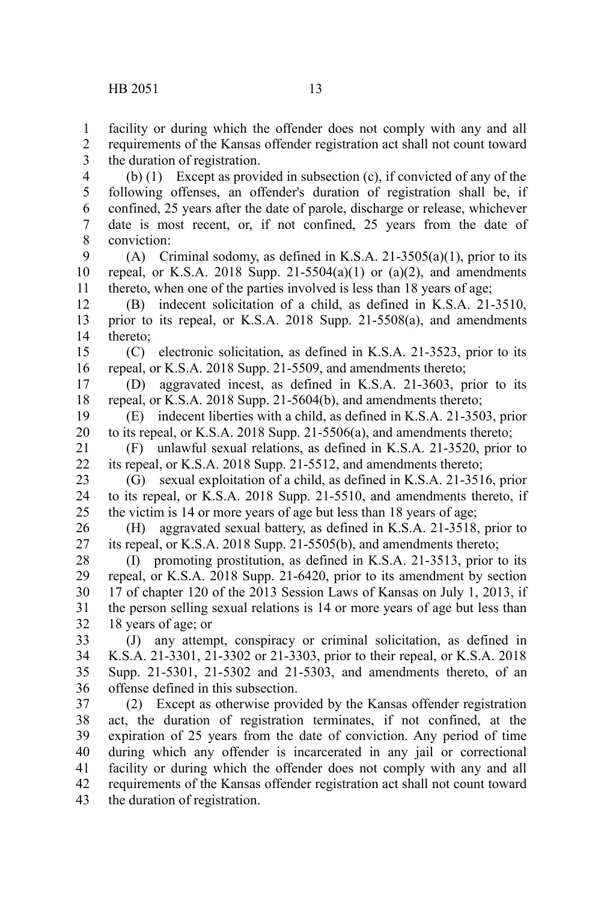facility or during which the offender does not comply with any and all requirements of the Kansas offender registration act shall not count toward the duration of registration. 1 2 3 4

(b) (1) Except as provided in subsection (c), if convicted of any of the following offenses, an offender's duration of registration shall be, if confined, 25 years after the date of parole, discharge or release, whichever date is most recent, or, if not confined, 25 years from the date of conviction: 5 6 7 8

(A) Criminal sodomy, as defined in K.S.A. 21-3505(a)(1), prior to its repeal, or K.S.A. 2018 Supp. 21-5504(a)(1) or (a)(2), and amendments thereto, when one of the parties involved is less than 18 years of age; 9 10 11

(B) indecent solicitation of a child, as defined in K.S.A. 21-3510, prior to its repeal, or K.S.A. 2018 Supp. 21-5508(a), and amendments thereto; 12 13 14

(C) electronic solicitation, as defined in K.S.A. 21-3523, prior to its repeal, or K.S.A. 2018 Supp. 21-5509, and amendments thereto; 15 16

(D) aggravated incest, as defined in K.S.A. 21-3603, prior to its repeal, or K.S.A. 2018 Supp. 21-5604(b), and amendments thereto; 17 18

(E) indecent liberties with a child, as defined in K.S.A. 21-3503, prior to its repeal, or K.S.A. 2018 Supp. 21-5506(a), and amendments thereto; 19 20

(F) unlawful sexual relations, as defined in K.S.A. 21-3520, prior to its repeal, or K.S.A. 2018 Supp. 21-5512, and amendments thereto; 21 22

(G) sexual exploitation of a child, as defined in K.S.A. 21-3516, prior to its repeal, or K.S.A. 2018 Supp. 21-5510, and amendments thereto, if the victim is 14 or more years of age but less than 18 years of age; 23 24 25

(H) aggravated sexual battery, as defined in K.S.A. 21-3518, prior to its repeal, or K.S.A. 2018 Supp. 21-5505(b), and amendments thereto; 26 27

(I) promoting prostitution, as defined in K.S.A. 21-3513, prior to its repeal, or K.S.A. 2018 Supp. 21-6420, prior to its amendment by section 17 of chapter 120 of the 2013 Session Laws of Kansas on July 1, 2013, if the person selling sexual relations is 14 or more years of age but less than 18 years of age; or 28 29 30 31 32

(J) any attempt, conspiracy or criminal solicitation, as defined in K.S.A. 21-3301, 21-3302 or 21-3303, prior to their repeal, or K.S.A. 2018 Supp. 21-5301, 21-5302 and 21-5303, and amendments thereto, of an offense defined in this subsection. 33 34 35 36

(2) Except as otherwise provided by the Kansas offender registration act, the duration of registration terminates, if not confined, at the expiration of 25 years from the date of conviction. Any period of time during which any offender is incarcerated in any jail or correctional facility or during which the offender does not comply with any and all requirements of the Kansas offender registration act shall not count toward the duration of registration. 37 38 39 40 41 42 43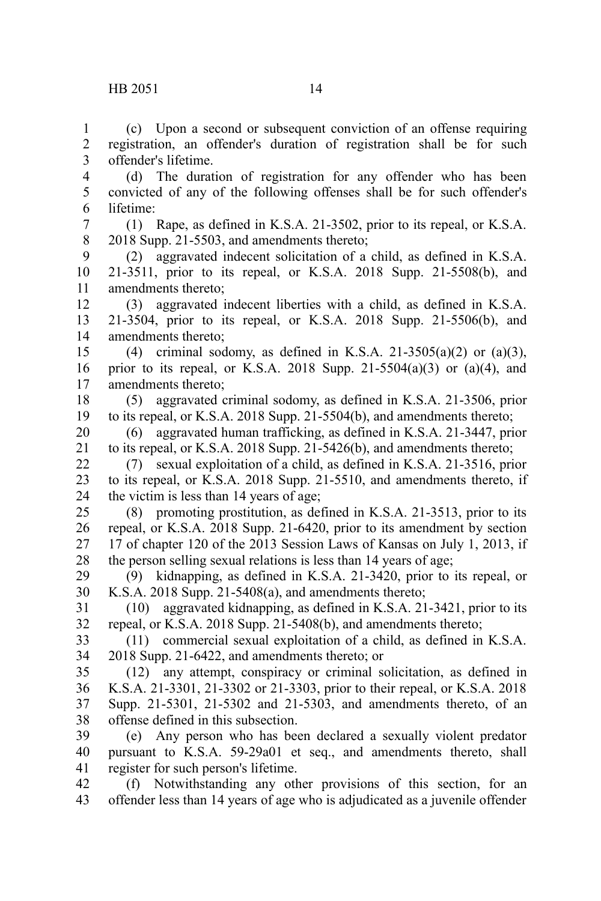lifetime:

offender's lifetime.

(c) Upon a second or subsequent conviction of an offense requiring registration, an offender's duration of registration shall be for such

(d) The duration of registration for any offender who has been convicted of any of the following offenses shall be for such offender's

(1) Rape, as defined in K.S.A. 21-3502, prior to its repeal, or K.S.A. 2018 Supp. 21-5503, and amendments thereto; (2) aggravated indecent solicitation of a child, as defined in K.S.A. 21-3511, prior to its repeal, or K.S.A. 2018 Supp. 21-5508(b), and amendments thereto; (3) aggravated indecent liberties with a child, as defined in K.S.A. 21-3504, prior to its repeal, or K.S.A. 2018 Supp. 21-5506(b), and amendments thereto; (4) criminal sodomy, as defined in K.S.A. 21-3505(a)(2) or (a)(3), prior to its repeal, or K.S.A. 2018 Supp.  $21-5504(a)(3)$  or  $(a)(4)$ , and amendments thereto; (5) aggravated criminal sodomy, as defined in K.S.A. 21-3506, prior to its repeal, or K.S.A. 2018 Supp. 21-5504(b), and amendments thereto; (6) aggravated human trafficking, as defined in K.S.A. 21-3447, prior to its repeal, or K.S.A. 2018 Supp. 21-5426(b), and amendments thereto; (7) sexual exploitation of a child, as defined in K.S.A. 21-3516, prior to its repeal, or K.S.A. 2018 Supp. 21-5510, and amendments thereto, if the victim is less than 14 years of age; (8) promoting prostitution, as defined in K.S.A. 21-3513, prior to its repeal, or K.S.A. 2018 Supp. 21-6420, prior to its amendment by section 17 of chapter 120 of the 2013 Session Laws of Kansas on July 1, 2013, if the person selling sexual relations is less than 14 years of age; (9) kidnapping, as defined in K.S.A. 21-3420, prior to its repeal, or K.S.A. 2018 Supp. 21-5408(a), and amendments thereto; (10) aggravated kidnapping, as defined in K.S.A. 21-3421, prior to its repeal, or K.S.A. 2018 Supp. 21-5408(b), and amendments thereto; (11) commercial sexual exploitation of a child, as defined in K.S.A. 2018 Supp. 21-6422, and amendments thereto; or (12) any attempt, conspiracy or criminal solicitation, as defined in 7 8 9 10 11 12 13 14 15 16 17 18 19 20 21 22 23 24 25 26 27 28 29 30 31 32 33 34 35

K.S.A. 21-3301, 21-3302 or 21-3303, prior to their repeal, or K.S.A. 2018 Supp. 21-5301, 21-5302 and 21-5303, and amendments thereto, of an offense defined in this subsection. 36 37 38

(e) Any person who has been declared a sexually violent predator pursuant to K.S.A. 59-29a01 et seq., and amendments thereto, shall register for such person's lifetime. 39 40 41

(f) Notwithstanding any other provisions of this section, for an offender less than 14 years of age who is adjudicated as a juvenile offender 42 43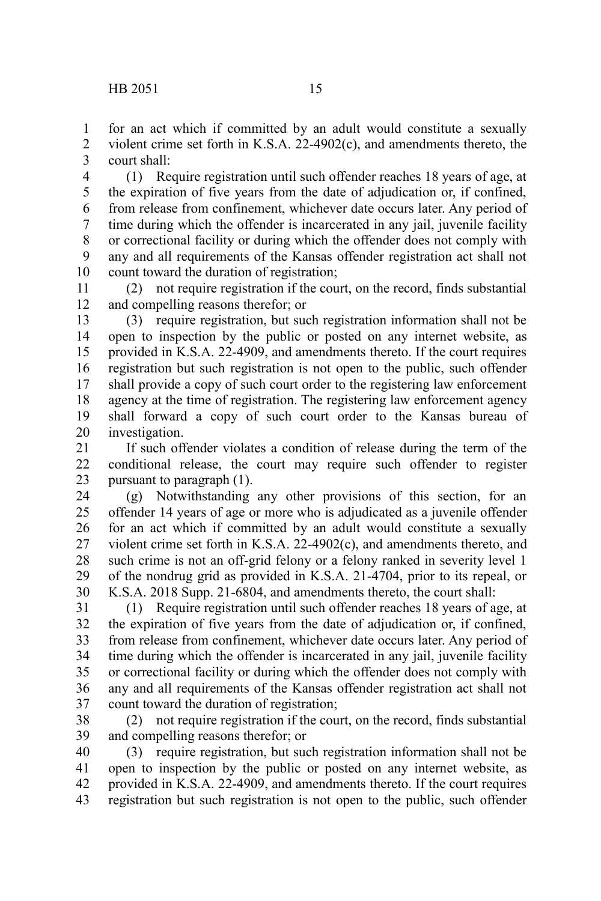for an act which if committed by an adult would constitute a sexually violent crime set forth in K.S.A. 22-4902(c), and amendments thereto, the court shall: 1 2 3

(1) Require registration until such offender reaches 18 years of age, at the expiration of five years from the date of adjudication or, if confined, from release from confinement, whichever date occurs later. Any period of time during which the offender is incarcerated in any jail, juvenile facility or correctional facility or during which the offender does not comply with any and all requirements of the Kansas offender registration act shall not count toward the duration of registration; 4 5 6 7 8 9 10

(2) not require registration if the court, on the record, finds substantial and compelling reasons therefor; or 11 12

(3) require registration, but such registration information shall not be open to inspection by the public or posted on any internet website, as provided in K.S.A. 22-4909, and amendments thereto. If the court requires registration but such registration is not open to the public, such offender shall provide a copy of such court order to the registering law enforcement agency at the time of registration. The registering law enforcement agency shall forward a copy of such court order to the Kansas bureau of investigation. 13 14 15 16 17 18 19 20

If such offender violates a condition of release during the term of the conditional release, the court may require such offender to register pursuant to paragraph (1). 21 22 23

(g) Notwithstanding any other provisions of this section, for an offender 14 years of age or more who is adjudicated as a juvenile offender for an act which if committed by an adult would constitute a sexually violent crime set forth in K.S.A. 22-4902(c), and amendments thereto, and such crime is not an off-grid felony or a felony ranked in severity level 1 of the nondrug grid as provided in K.S.A. 21-4704, prior to its repeal, or K.S.A. 2018 Supp. 21-6804, and amendments thereto, the court shall: 24 25 26 27 28 29 30

(1) Require registration until such offender reaches 18 years of age, at the expiration of five years from the date of adjudication or, if confined, from release from confinement, whichever date occurs later. Any period of time during which the offender is incarcerated in any jail, juvenile facility or correctional facility or during which the offender does not comply with any and all requirements of the Kansas offender registration act shall not count toward the duration of registration; 31 32 33 34 35 36 37

(2) not require registration if the court, on the record, finds substantial and compelling reasons therefor; or 38 39

(3) require registration, but such registration information shall not be open to inspection by the public or posted on any internet website, as provided in K.S.A. 22-4909, and amendments thereto. If the court requires registration but such registration is not open to the public, such offender 40 41 42 43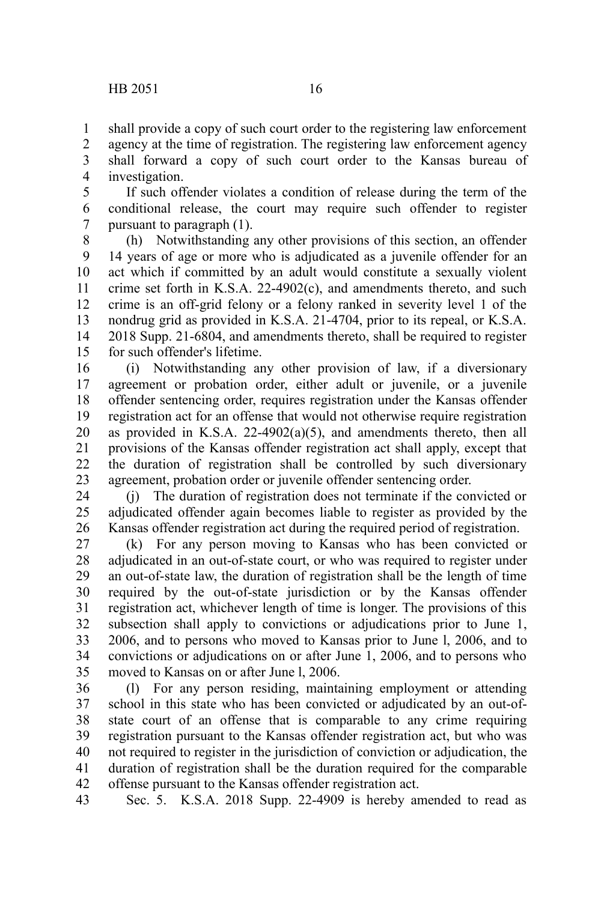shall provide a copy of such court order to the registering law enforcement 1

agency at the time of registration. The registering law enforcement agency shall forward a copy of such court order to the Kansas bureau of investigation. 2 3 4

If such offender violates a condition of release during the term of the conditional release, the court may require such offender to register pursuant to paragraph (1). 5 6 7

(h) Notwithstanding any other provisions of this section, an offender 14 years of age or more who is adjudicated as a juvenile offender for an act which if committed by an adult would constitute a sexually violent crime set forth in K.S.A.  $22-4902(c)$ , and amendments thereto, and such crime is an off-grid felony or a felony ranked in severity level 1 of the nondrug grid as provided in K.S.A. 21-4704, prior to its repeal, or K.S.A. 2018 Supp. 21-6804, and amendments thereto, shall be required to register for such offender's lifetime. 8 9 10 11 12 13 14 15

(i) Notwithstanding any other provision of law, if a diversionary agreement or probation order, either adult or juvenile, or a juvenile offender sentencing order, requires registration under the Kansas offender registration act for an offense that would not otherwise require registration as provided in K.S.A.  $22-4902(a)(5)$ , and amendments thereto, then all provisions of the Kansas offender registration act shall apply, except that the duration of registration shall be controlled by such diversionary agreement, probation order or juvenile offender sentencing order. 16 17 18 19 20 21 22 23

(j) The duration of registration does not terminate if the convicted or adjudicated offender again becomes liable to register as provided by the Kansas offender registration act during the required period of registration. 24 25 26

(k) For any person moving to Kansas who has been convicted or adjudicated in an out-of-state court, or who was required to register under an out-of-state law, the duration of registration shall be the length of time required by the out-of-state jurisdiction or by the Kansas offender registration act, whichever length of time is longer. The provisions of this subsection shall apply to convictions or adjudications prior to June 1, 2006, and to persons who moved to Kansas prior to June l, 2006, and to convictions or adjudications on or after June 1, 2006, and to persons who moved to Kansas on or after June l, 2006. 27 28 29 30 31 32 33 34 35

(l) For any person residing, maintaining employment or attending school in this state who has been convicted or adjudicated by an out-ofstate court of an offense that is comparable to any crime requiring registration pursuant to the Kansas offender registration act, but who was not required to register in the jurisdiction of conviction or adjudication, the duration of registration shall be the duration required for the comparable offense pursuant to the Kansas offender registration act. 36 37 38 39 40 41 42

Sec. 5. K.S.A. 2018 Supp. 22-4909 is hereby amended to read as 43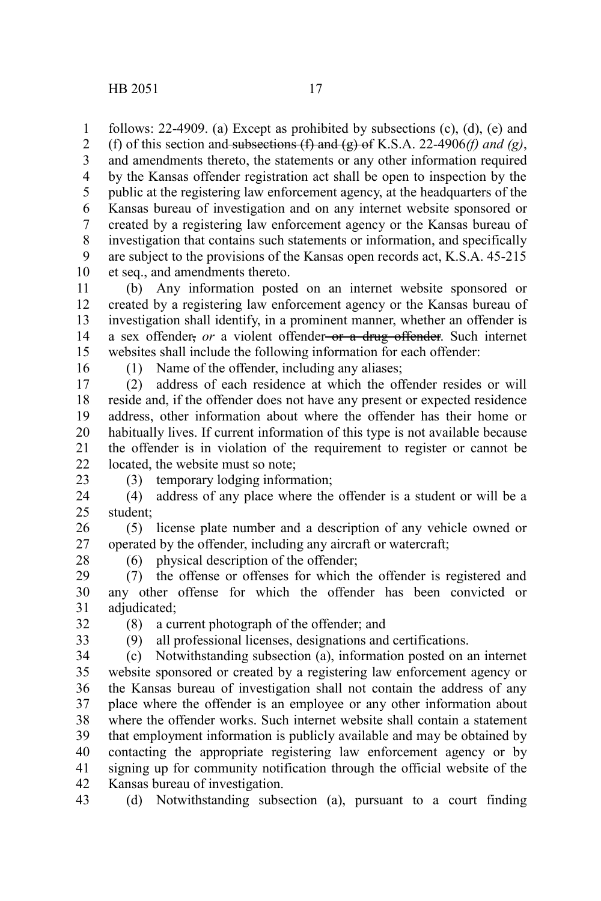follows: 22-4909. (a) Except as prohibited by subsections (c), (d), (e) and (f) of this section and subsections  $(f)$  and  $(g)$  of K.S.A. 22-4906*(f) and (g)*, and amendments thereto, the statements or any other information required by the Kansas offender registration act shall be open to inspection by the public at the registering law enforcement agency, at the headquarters of the Kansas bureau of investigation and on any internet website sponsored or created by a registering law enforcement agency or the Kansas bureau of investigation that contains such statements or information, and specifically are subject to the provisions of the Kansas open records act, K.S.A. 45-215 et seq., and amendments thereto. 1 2 3 4 5 6 7 8 9 10

(b) Any information posted on an internet website sponsored or created by a registering law enforcement agency or the Kansas bureau of investigation shall identify, in a prominent manner, whether an offender is a sex offender, *or* a violent offender-or a drug offender. Such internet websites shall include the following information for each offender: 11 12 13 14 15

16

(1) Name of the offender, including any aliases;

(2) address of each residence at which the offender resides or will reside and, if the offender does not have any present or expected residence address, other information about where the offender has their home or habitually lives. If current information of this type is not available because the offender is in violation of the requirement to register or cannot be located, the website must so note; 17 18 19 20 21  $22$ 

(3) temporary lodging information;

(4) address of any place where the offender is a student or will be a student; 24 25

(5) license plate number and a description of any vehicle owned or operated by the offender, including any aircraft or watercraft; 26 27

28

23

(6) physical description of the offender; (7) the offense or offenses for which the offender is registered and any other offense for which the offender has been convicted or 29 30

adjudicated; 31

32 33 (8) a current photograph of the offender; and

34

(9) all professional licenses, designations and certifications.

(c) Notwithstanding subsection (a), information posted on an internet website sponsored or created by a registering law enforcement agency or the Kansas bureau of investigation shall not contain the address of any place where the offender is an employee or any other information about where the offender works. Such internet website shall contain a statement that employment information is publicly available and may be obtained by contacting the appropriate registering law enforcement agency or by signing up for community notification through the official website of the Kansas bureau of investigation. 35 36 37 38 39 40 41 42

(d) Notwithstanding subsection (a), pursuant to a court finding 43